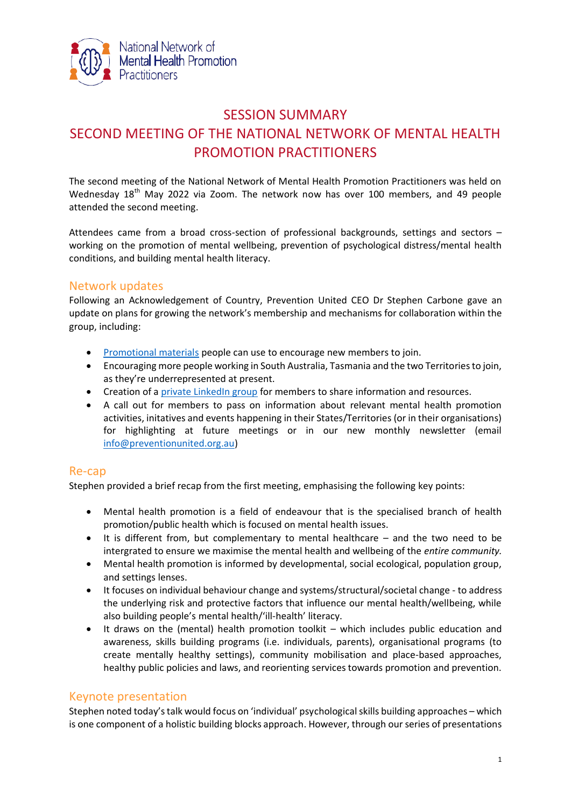

# SESSION SUMMARY SECOND MEETING OF THE NATIONAL NETWORK OF MENTAL HEALTH PROMOTION PRACTITIONERS

The second meeting of the National Network of Mental Health Promotion Practitioners was held on Wednesday 18<sup>th</sup> May 2022 via Zoom. The network now has over 100 members, and 49 people attended the second meeting.

Attendees came from a broad cross-section of professional backgrounds, settings and sectors – working on the promotion of mental wellbeing, prevention of psychological distress/mental health conditions, and building mental health literacy.

### Network updates

Following an Acknowledgement of Country, Prevention United CEO Dr Stephen Carbone gave an update on plans for growing the network's membership and mechanisms for collaboration within the group, including:

- [Promotional materials](https://nam12.safelinks.protection.outlook.com/?url=https%3A%2F%2Fdrive.google.com%2Fdrive%2Ffolders%2F1zEGxnxSBfVdrYs8co2bTPz0r9qJvKK2_%3Fusp%3Dsharing&data=05%7C01%7C%7C0a3ec2257da745bcdc9b08da3e3beff8%7C84df9e7fe9f640afb435aaaaaaaaaaaa%7C1%7C0%7C637890724520311152%7CUnknown%7CTWFpbGZsb3d8eyJWIjoiMC4wLjAwMDAiLCJQIjoiV2luMzIiLCJBTiI6Ik1haWwiLCJXVCI6Mn0%3D%7C3000%7C%7C%7C&sdata=pFwOaAjqOcyLWF%2B5CidKkupRXBRe9ltS1g6GcJrdDPI%3D&reserved=0) people can use to encourage new members to join.
- Encouraging more people working in South Australia, Tasmania and the two Territories to join, as they're underrepresented at present.
- Creation of a [private LinkedIn group](https://www.linkedin.com/groups/12656577/) for members to share information and resources.
- A call out for members to pass on information about relevant mental health promotion activities, initatives and events happening in their States/Territories (or in their organisations) for highlighting at future meetings or in our new monthly newsletter (email [info@preventionunited.org.au\)](mailto:info@preventionunited.org.au)

### Re-cap

Stephen provided a brief recap from the first meeting, emphasising the following key points:

- Mental health promotion is a field of endeavour that is the specialised branch of health promotion/public health which is focused on mental health issues.
- It is different from, but complementary to mental healthcare and the two need to be intergrated to ensure we maximise the mental health and wellbeing of the *entire community.*
- Mental health promotion is informed by developmental, social ecological, population group, and settings lenses.
- It focuses on individual behaviour change and systems/structural/societal change to address the underlying risk and protective factors that influence our mental health/wellbeing, while also building people's mental health/'ill-health' literacy.
- It draws on the (mental) health promotion toolkit which includes public education and awareness, skills building programs (i.e. individuals, parents), organisational programs (to create mentally healthy settings), community mobilisation and place-based approaches, healthy public policies and laws, and reorienting services towards promotion and prevention.

# Keynote presentation

Stephen noted today's talk would focus on 'individual' psychological skills building approaches – which is one component of a holistic building blocks approach. However, through our series of presentations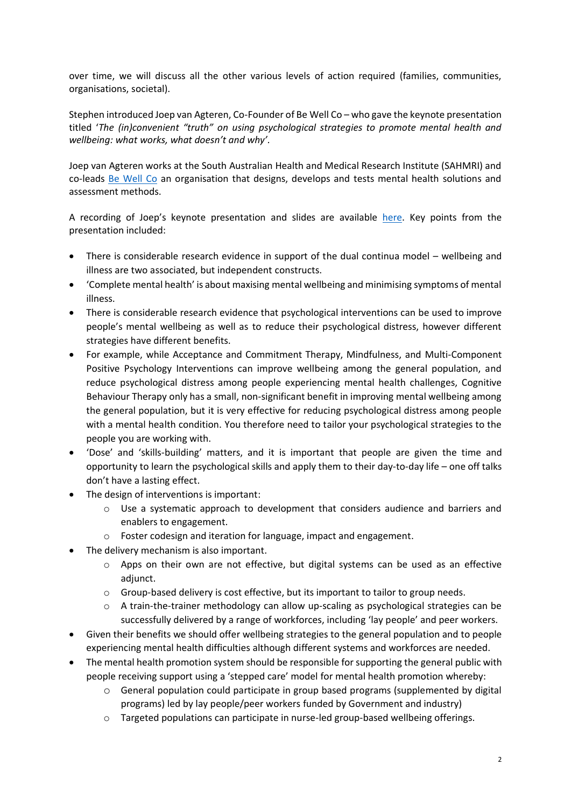over time, we will discuss all the other various levels of action required (families, communities, organisations, societal).

Stephen introduced Joep van Agteren, Co-Founder of Be Well Co – who gave the keynote presentation titled '*The (in)convenient "truth" on using psychological strategies to promote mental health and wellbeing: what works, what doesn't and why'.*

Joep van Agteren works at the South Australian Health and Medical Research Institute (SAHMRI) and co-leads [Be Well Co](https://www.bewellco.io/) an organisation that designs, develops and tests mental health solutions and assessment methods.

A recording of Joep's keynote presentation and slides are available [here.](https://preventionunited.org.au/advocacy/national-network-of-mental-health-promotion-practitioners-nnmhpp/) Key points from the presentation included:

- There is considerable research evidence in support of the dual continua model wellbeing and illness are two associated, but independent constructs.
- 'Complete mental health' is about maxising mental wellbeing and minimising symptoms of mental illness.
- There is considerable research evidence that psychological interventions can be used to improve people's mental wellbeing as well as to reduce their psychological distress, however different strategies have different benefits.
- For example, while Acceptance and Commitment Therapy, Mindfulness, and Multi-Component Positive Psychology Interventions can improve wellbeing among the general population, and reduce psychological distress among people experiencing mental health challenges, Cognitive Behaviour Therapy only has a small, non-significant benefit in improving mental wellbeing among the general population, but it is very effective for reducing psychological distress among people with a mental health condition. You therefore need to tailor your psychological strategies to the people you are working with.
- 'Dose' and 'skills-building' matters, and it is important that people are given the time and opportunity to learn the psychological skills and apply them to their day-to-day life – one off talks don't have a lasting effect.
- The design of interventions is important:
	- o Use a systematic approach to development that considers audience and barriers and enablers to engagement.
	- o Foster codesign and iteration for language, impact and engagement.
- The delivery mechanism is also important.
	- $\circ$  Apps on their own are not effective, but digital systems can be used as an effective adiunct.
	- o Group-based delivery is cost effective, but its important to tailor to group needs.
	- $\circ$  A train-the-trainer methodology can allow up-scaling as psychological strategies can be successfully delivered by a range of workforces, including 'lay people' and peer workers.
- Given their benefits we should offer wellbeing strategies to the general population and to people experiencing mental health difficulties although different systems and workforces are needed.
- The mental health promotion system should be responsible for supporting the general public with people receiving support using a 'stepped care' model for mental health promotion whereby:
	- o General population could participate in group based programs (supplemented by digital programs) led by lay people/peer workers funded by Government and industry)
	- o Targeted populations can participate in nurse-led group-based wellbeing offerings.